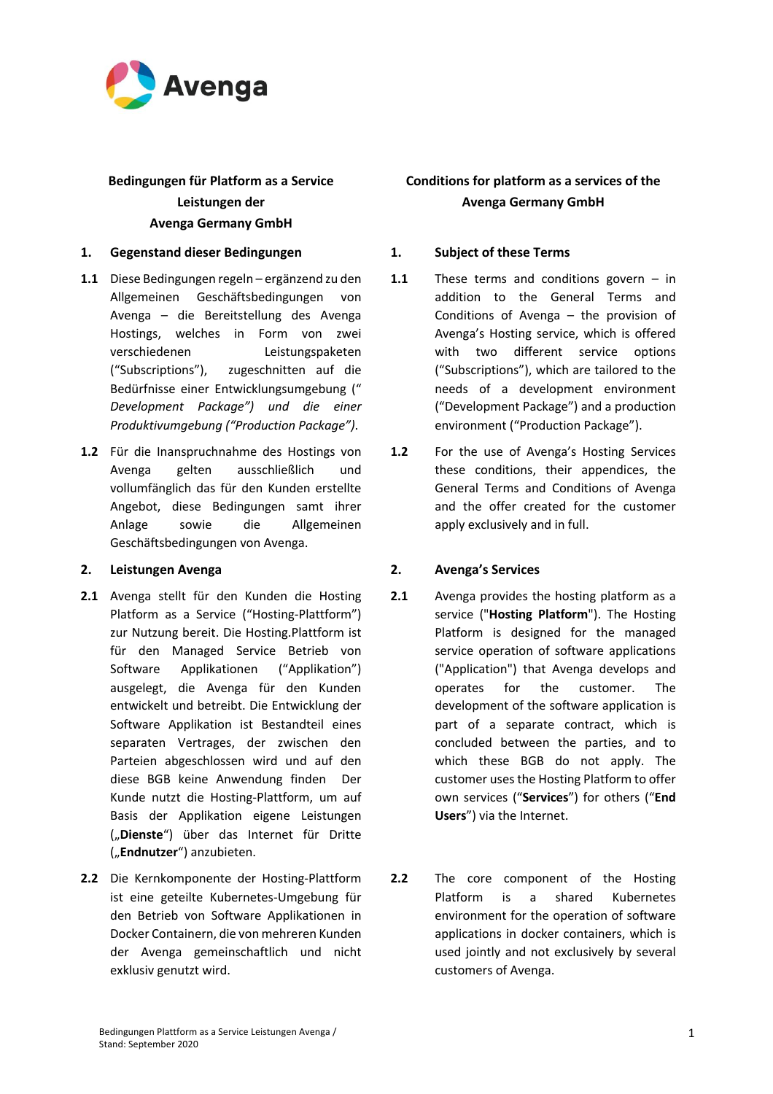

# **Bedingungen für Platform as a Service Leistungen der Avenga Germany GmbH**

## **1. Gegenstand dieser Bedingungen 1. Subject of these Terms**

- **1.1** Diese Bedingungen regeln ergänzend zu den Allgemeinen Geschäftsbedingungen von Avenga – die Bereitstellung des Avenga Hostings, welches in Form von zwei verschiedenen Leistungspaketen ("Subscriptions"), zugeschnitten auf die Bedürfnisse einer Entwicklungsumgebung (" *Development Package") und die einer Produktivumgebung ("Production Package")*.
- **1.2** Für die Inanspruchnahme des Hostings von Avenga gelten ausschließlich und vollumfänglich das für den Kunden erstellte Angebot, diese Bedingungen samt ihrer Anlage sowie die Allgemeinen Geschäftsbedingungen von Avenga.

- **2.1** Avenga stellt für den Kunden die Hosting Platform as a Service ("Hosting-Plattform") zur Nutzung bereit. Die Hosting.Plattform ist für den Managed Service Betrieb von Software Applikationen ("Applikation") ausgelegt, die Avenga für den Kunden entwickelt und betreibt. Die Entwicklung der Software Applikation ist Bestandteil eines separaten Vertrages, der zwischen den Parteien abgeschlossen wird und auf den diese BGB keine Anwendung finden Der Kunde nutzt die Hosting-Plattform, um auf Basis der Applikation eigene Leistungen ("**Dienste**") über das Internet für Dritte ("**Endnutzer**") anzubieten.
- **2.2** Die Kernkomponente der Hosting-Plattform ist eine geteilte Kubernetes-Umgebung für den Betrieb von Software Applikationen in Docker Containern, die von mehreren Kunden der Avenga gemeinschaftlich und nicht exklusiv genutzt wird.

# **Conditions for platform as a services of the Avenga Germany GmbH**

- **1.1** These terms and conditions govern in addition to the General Terms and Conditions of Avenga – the provision of Avenga's Hosting service, which is offered with two different service options ("Subscriptions"), which are tailored to the needs of a development environment ("Development Package") and a production environment ("Production Package").
- **1.2** For the use of Avenga's Hosting Services these conditions, their appendices, the General Terms and Conditions of Avenga and the offer created for the customer apply exclusively and in full.

## **2. Leistungen Avenga 2. Avenga's Services**

- **2.1** Avenga provides the hosting platform as a service ("**Hosting Platform**"). The Hosting Platform is designed for the managed service operation of software applications ("Application") that Avenga develops and operates for the customer. The development of the software application is part of a separate contract, which is concluded between the parties, and to which these BGB do not apply. The customer uses the Hosting Platform to offer own services ("**Services**") for others ("**End Users**") via the Internet.
- **2.2** The core component of the Hosting Platform is a shared Kubernetes environment for the operation of software applications in docker containers, which is used jointly and not exclusively by several customers of Avenga.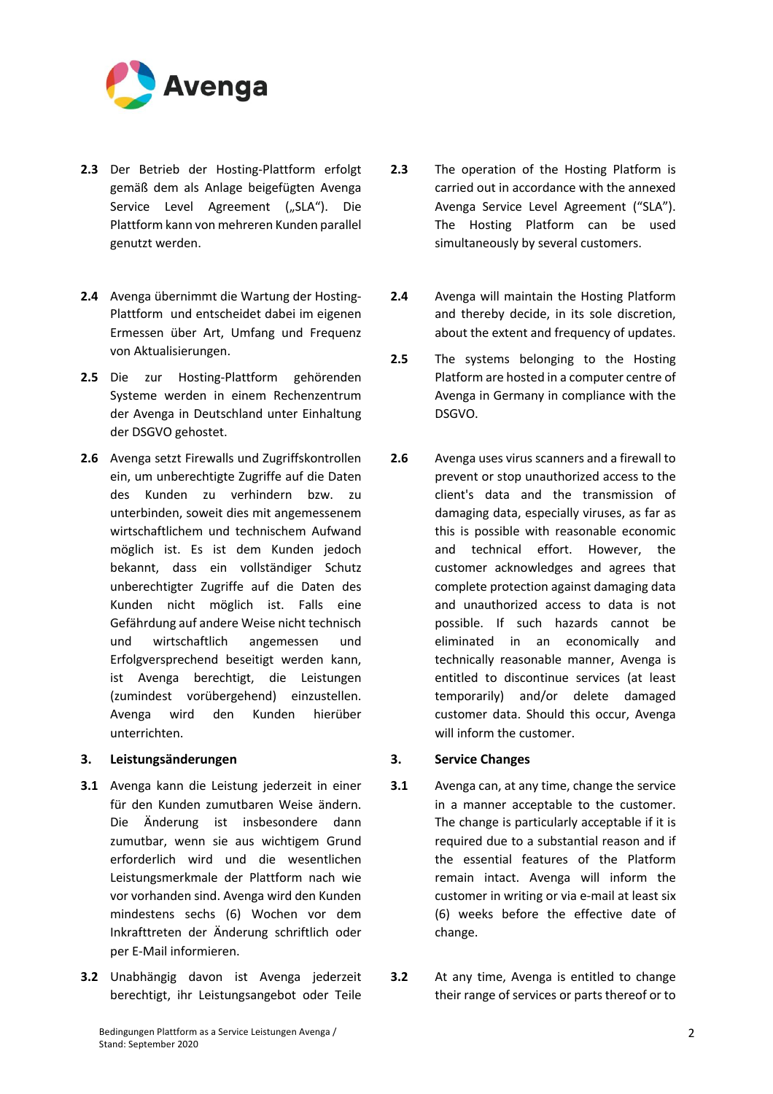

- **2.3** Der Betrieb der Hosting-Plattform erfolgt gemäß dem als Anlage beigefügten Avenga Service Level Agreement ("SLA"). Die Plattform kann von mehreren Kunden parallel genutzt werden.
- **2.4** Avenga übernimmt die Wartung der Hosting-Plattform und entscheidet dabei im eigenen Ermessen über Art, Umfang und Frequenz von Aktualisierungen.
- **2.5** Die zur Hosting-Plattform gehörenden Systeme werden in einem Rechenzentrum der Avenga in Deutschland unter Einhaltung der DSGVO gehostet.
- **2.6** Avenga setzt Firewalls und Zugriffskontrollen ein, um unberechtigte Zugriffe auf die Daten des Kunden zu verhindern bzw. zu unterbinden, soweit dies mit angemessenem wirtschaftlichem und technischem Aufwand möglich ist. Es ist dem Kunden jedoch bekannt, dass ein vollständiger Schutz unberechtigter Zugriffe auf die Daten des Kunden nicht möglich ist. Falls eine Gefährdung auf andere Weise nicht technisch und wirtschaftlich angemessen und Erfolgversprechend beseitigt werden kann, ist Avenga berechtigt, die Leistungen (zumindest vorübergehend) einzustellen. Avenga wird den Kunden hierüber unterrichten.

## **3. Leistungsänderungen 3. Service Changes**

- **3.1** Avenga kann die Leistung jederzeit in einer für den Kunden zumutbaren Weise ändern. Die Änderung ist insbesondere dann zumutbar, wenn sie aus wichtigem Grund erforderlich wird und die wesentlichen Leistungsmerkmale der Plattform nach wie vor vorhanden sind. Avenga wird den Kunden mindestens sechs (6) Wochen vor dem Inkrafttreten der Änderung schriftlich oder per E-Mail informieren.
- **3.2** Unabhängig davon ist Avenga jederzeit berechtigt, ihr Leistungsangebot oder Teile
- **2.3** The operation of the Hosting Platform is carried out in accordance with the annexed Avenga Service Level Agreement ("SLA"). The Hosting Platform can be used simultaneously by several customers.
- **2.4** Avenga will maintain the Hosting Platform and thereby decide, in its sole discretion, about the extent and frequency of updates.
- **2.5** The systems belonging to the Hosting Platform are hosted in a computer centre of Avenga in Germany in compliance with the DSGVO.
- **2.6** Avenga uses virus scanners and a firewall to prevent or stop unauthorized access to the client's data and the transmission of damaging data, especially viruses, as far as this is possible with reasonable economic and technical effort. However, the customer acknowledges and agrees that complete protection against damaging data and unauthorized access to data is not possible. If such hazards cannot be eliminated in an economically and technically reasonable manner, Avenga is entitled to discontinue services (at least temporarily) and/or delete damaged customer data. Should this occur, Avenga will inform the customer.

- **3.1** Avenga can, at any time, change the service in a manner acceptable to the customer. The change is particularly acceptable if it is required due to a substantial reason and if the essential features of the Platform remain intact. Avenga will inform the customer in writing or via e-mail at least six (6) weeks before the effective date of change.
- **3.2** At any time, Avenga is entitled to change their range of services or parts thereof or to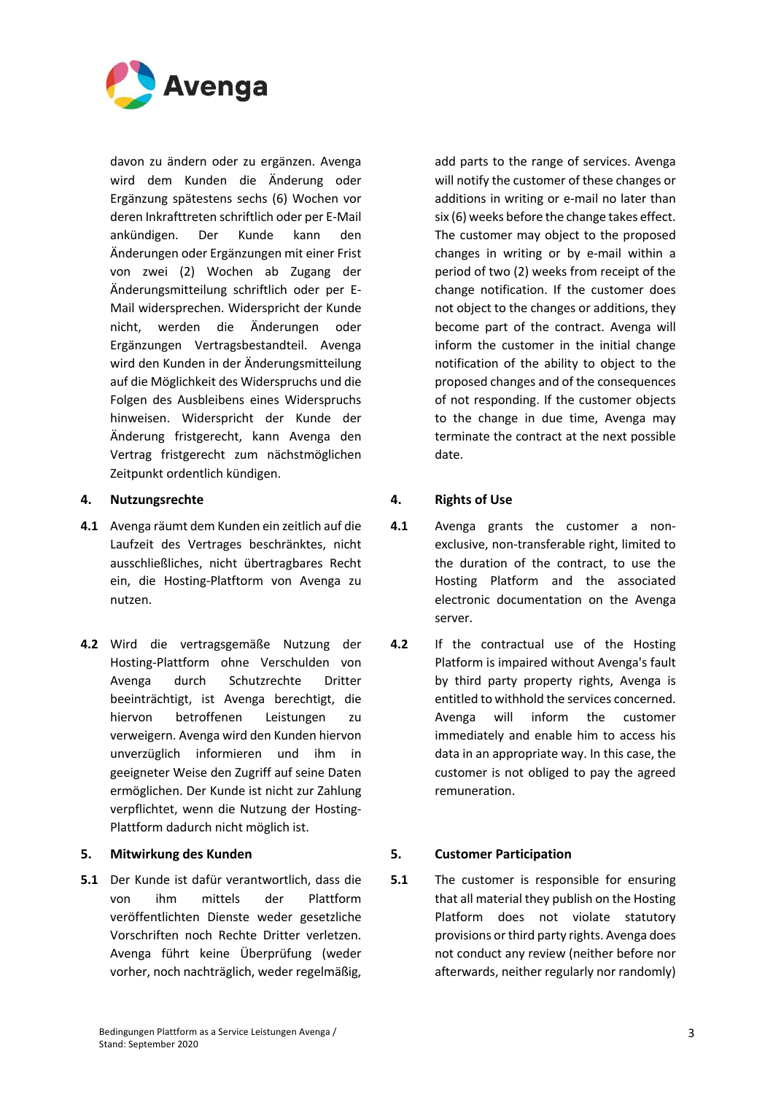

davon zu ändern oder zu ergänzen. Avenga wird dem Kunden die Änderung oder Ergänzung spätestens sechs (6) Wochen vor deren Inkrafttreten schriftlich oder per E-Mail ankündigen. Der Kunde kann den Änderungen oder Ergänzungen mit einer Frist von zwei (2) Wochen ab Zugang der Änderungsmitteilung schriftlich oder per E-Mail widersprechen. Widerspricht der Kunde nicht, werden die Änderungen oder Ergänzungen Vertragsbestandteil. Avenga wird den Kunden in der Änderungsmitteilung auf die Möglichkeit des Widerspruchs und die Folgen des Ausbleibens eines Widerspruchs hinweisen. Widerspricht der Kunde der Änderung fristgerecht, kann Avenga den Vertrag fristgerecht zum nächstmöglichen Zeitpunkt ordentlich kündigen.

## **4. Nutzungsrechte 4. Rights of Use**

- **4.1** Avenga räumt dem Kunden ein zeitlich auf die Laufzeit des Vertrages beschränktes, nicht ausschließliches, nicht übertragbares Recht ein, die Hosting-Platftorm von Avenga zu nutzen.
- **4.2** Wird die vertragsgemäße Nutzung der Hosting-Plattform ohne Verschulden von Avenga durch Schutzrechte Dritter beeinträchtigt, ist Avenga berechtigt, die hiervon betroffenen Leistungen zu verweigern. Avenga wird den Kunden hiervon unverzüglich informieren und ihm in geeigneter Weise den Zugriff auf seine Daten ermöglichen. Der Kunde ist nicht zur Zahlung verpflichtet, wenn die Nutzung der Hosting-Plattform dadurch nicht möglich ist.

**5.1** Der Kunde ist dafür verantwortlich, dass die von ihm mittels der Plattform veröffentlichten Dienste weder gesetzliche Vorschriften noch Rechte Dritter verletzen. Avenga führt keine Überprüfung (weder vorher, noch nachträglich, weder regelmäßig, add parts to the range of services. Avenga will notify the customer of these changes or additions in writing or e-mail no later than six (6) weeks before the change takes effect. The customer may object to the proposed changes in writing or by e-mail within a period of two (2) weeks from receipt of the change notification. If the customer does not object to the changes or additions, they become part of the contract. Avenga will inform the customer in the initial change notification of the ability to object to the proposed changes and of the consequences of not responding. If the customer objects to the change in due time, Avenga may terminate the contract at the next possible date.

- **4.1** Avenga grants the customer a nonexclusive, non-transferable right, limited to the duration of the contract, to use the Hosting Platform and the associated electronic documentation on the Avenga server.
- **4.2** If the contractual use of the Hosting Platform is impaired without Avenga's fault by third party property rights, Avenga is entitled to withhold the services concerned. Avenga will inform the customer immediately and enable him to access his data in an appropriate way. In this case, the customer is not obliged to pay the agreed remuneration.

## **5. Mitwirkung des Kunden 5. Customer Participation**

**5.1** The customer is responsible for ensuring that all material they publish on the Hosting Platform does not violate statutory provisions or third party rights. Avenga does not conduct any review (neither before nor afterwards, neither regularly nor randomly)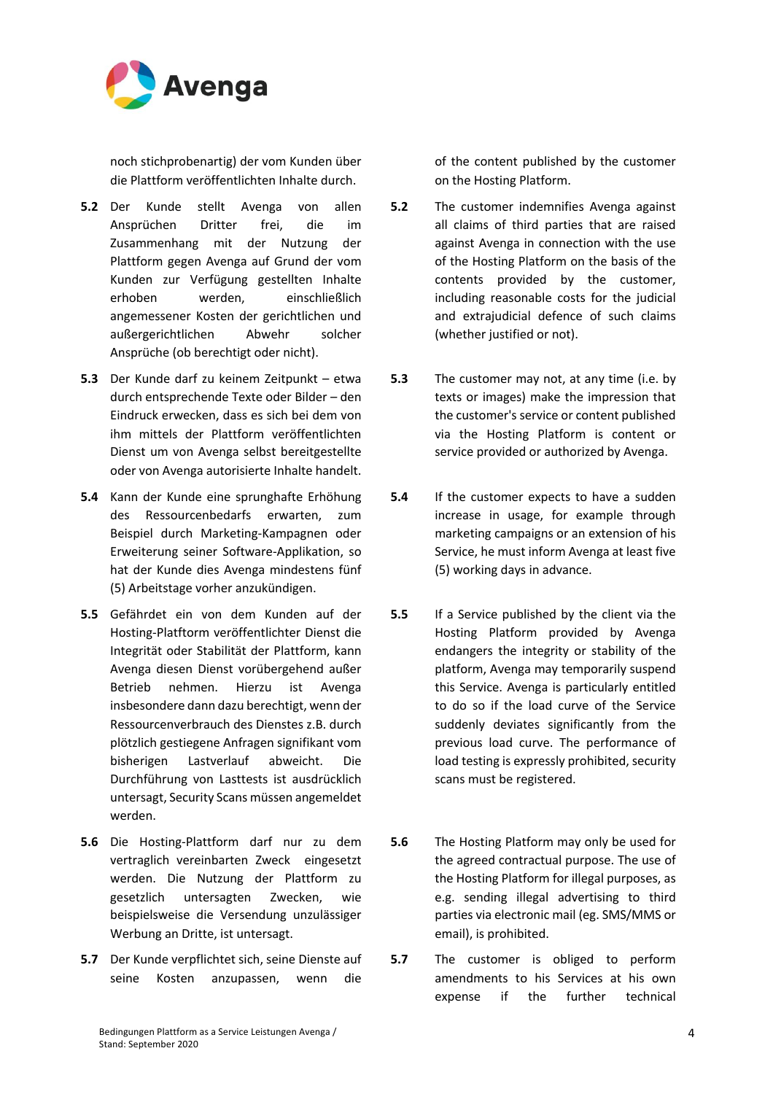

noch stichprobenartig) der vom Kunden über die Plattform veröffentlichten Inhalte durch.

- **5.2** Der Kunde stellt Avenga von allen Ansprüchen Dritter frei, die im Zusammenhang mit der Nutzung der Plattform gegen Avenga auf Grund der vom Kunden zur Verfügung gestellten Inhalte erhoben werden, einschließlich angemessener Kosten der gerichtlichen und außergerichtlichen Abwehr solcher Ansprüche (ob berechtigt oder nicht).
- **5.3** Der Kunde darf zu keinem Zeitpunkt etwa durch entsprechende Texte oder Bilder – den Eindruck erwecken, dass es sich bei dem von ihm mittels der Plattform veröffentlichten Dienst um von Avenga selbst bereitgestellte oder von Avenga autorisierte Inhalte handelt.
- **5.4** Kann der Kunde eine sprunghafte Erhöhung des Ressourcenbedarfs erwarten, zum Beispiel durch Marketing-Kampagnen oder Erweiterung seiner Software-Applikation, so hat der Kunde dies Avenga mindestens fünf (5) Arbeitstage vorher anzukündigen.
- **5.5** Gefährdet ein von dem Kunden auf der Hosting-Platftorm veröffentlichter Dienst die Integrität oder Stabilität der Plattform, kann Avenga diesen Dienst vorübergehend außer Betrieb nehmen. Hierzu ist Avenga insbesondere dann dazu berechtigt, wenn der Ressourcenverbrauch des Dienstes z.B. durch plötzlich gestiegene Anfragen signifikant vom bisherigen Lastverlauf abweicht. Die Durchführung von Lasttests ist ausdrücklich untersagt, Security Scans müssen angemeldet werden.
- **5.6** Die Hosting-Plattform darf nur zu dem vertraglich vereinbarten Zweck eingesetzt werden. Die Nutzung der Plattform zu gesetzlich untersagten Zwecken, wie beispielsweise die Versendung unzulässiger Werbung an Dritte, ist untersagt.
- **5.7** Der Kunde verpflichtet sich, seine Dienste auf seine Kosten anzupassen, wenn die

of the content published by the customer on the Hosting Platform.

- **5.2** The customer indemnifies Avenga against all claims of third parties that are raised against Avenga in connection with the use of the Hosting Platform on the basis of the contents provided by the customer, including reasonable costs for the judicial and extrajudicial defence of such claims (whether justified or not).
- **5.3** The customer may not, at any time (i.e. by texts or images) make the impression that the customer's service or content published via the Hosting Platform is content or service provided or authorized by Avenga.
- **5.4** If the customer expects to have a sudden increase in usage, for example through marketing campaigns or an extension of his Service, he must inform Avenga at least five (5) working days in advance.
- **5.5** If a Service published by the client via the Hosting Platform provided by Avenga endangers the integrity or stability of the platform, Avenga may temporarily suspend this Service. Avenga is particularly entitled to do so if the load curve of the Service suddenly deviates significantly from the previous load curve. The performance of load testing is expressly prohibited, security scans must be registered.
- **5.6** The Hosting Platform may only be used for the agreed contractual purpose. The use of the Hosting Platform for illegal purposes, as e.g. sending illegal advertising to third parties via electronic mail (eg. SMS/MMS or email), is prohibited.
- **5.7** The customer is obliged to perform amendments to his Services at his own expense if the further technical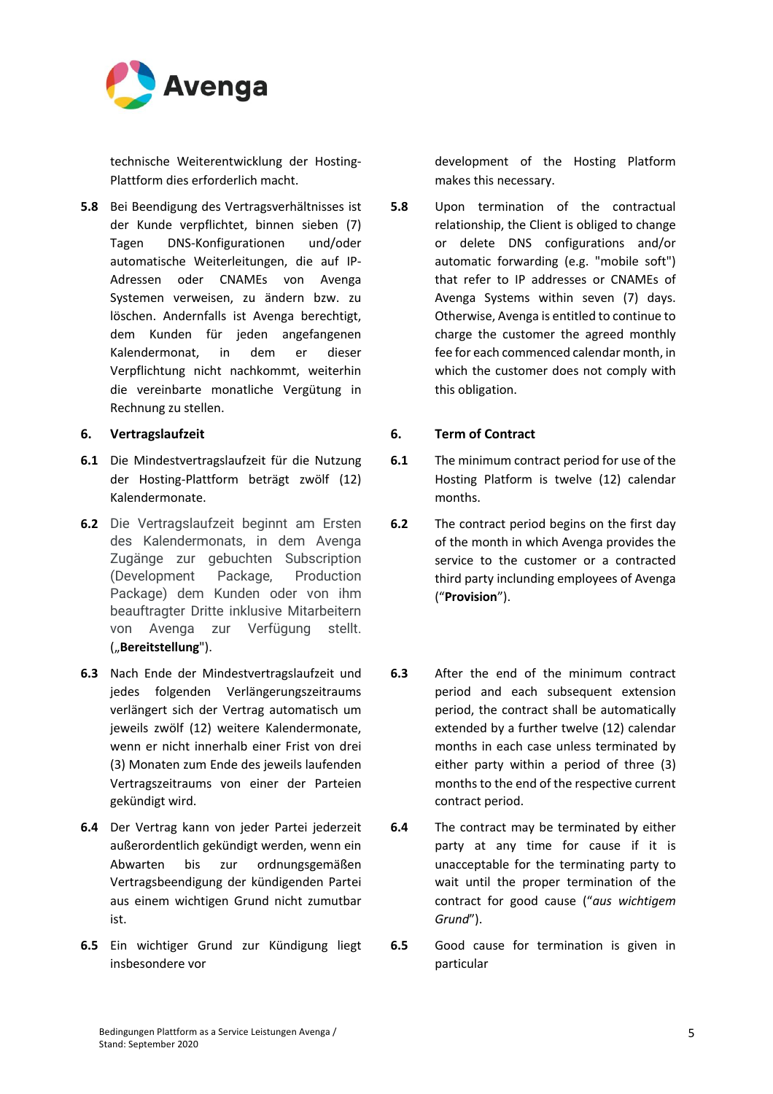

technische Weiterentwicklung der Hosting-Plattform dies erforderlich macht.

**5.8** Bei Beendigung des Vertragsverhältnisses ist der Kunde verpflichtet, binnen sieben (7) Tagen DNS-Konfigurationen und/oder automatische Weiterleitungen, die auf IP-Adressen oder CNAMEs von Avenga Systemen verweisen, zu ändern bzw. zu löschen. Andernfalls ist Avenga berechtigt, dem Kunden für jeden angefangenen Kalendermonat, in dem er dieser Verpflichtung nicht nachkommt, weiterhin die vereinbarte monatliche Vergütung in Rechnung zu stellen.

- **6.1** Die Mindestvertragslaufzeit für die Nutzung der Hosting-Plattform beträgt zwölf (12) Kalendermonate.
- **6.2** Die Vertragslaufzeit beginnt am Ersten des Kalendermonats, in dem Avenga Zugänge zur gebuchten Subscription (Development Package, Production Package) dem Kunden oder von ihm beauftragter Dritte inklusive Mitarbeitern von Avenga zur Verfügung stellt. ("**Bereitstellung**").
- **6.3** Nach Ende der Mindestvertragslaufzeit und jedes folgenden Verlängerungszeitraums verlängert sich der Vertrag automatisch um jeweils zwölf (12) weitere Kalendermonate, wenn er nicht innerhalb einer Frist von drei (3) Monaten zum Ende des jeweils laufenden Vertragszeitraums von einer der Parteien gekündigt wird.
- **6.4** Der Vertrag kann von jeder Partei jederzeit außerordentlich gekündigt werden, wenn ein Abwarten bis zur ordnungsgemäßen Vertragsbeendigung der kündigenden Partei aus einem wichtigen Grund nicht zumutbar ist.
- **6.5** Ein wichtiger Grund zur Kündigung liegt insbesondere vor

development of the Hosting Platform makes this necessary.

**5.8** Upon termination of the contractual relationship, the Client is obliged to change or delete DNS configurations and/or automatic forwarding (e.g. "mobile soft") that refer to IP addresses or CNAMEs of Avenga Systems within seven (7) days. Otherwise, Avenga is entitled to continue to charge the customer the agreed monthly fee for each commenced calendar month, in which the customer does not comply with this obligation.

## **6. Vertragslaufzeit 6. Term of Contract**

- **6.1** The minimum contract period for use of the Hosting Platform is twelve (12) calendar months.
- **6.2** The contract period begins on the first day of the month in which Avenga provides the service to the customer or a contracted third party inclunding employees of Avenga ("**Provision**").
- **6.3** After the end of the minimum contract period and each subsequent extension period, the contract shall be automatically extended by a further twelve (12) calendar months in each case unless terminated by either party within a period of three (3) months to the end of the respective current contract period.
- **6.4** The contract may be terminated by either party at any time for cause if it is unacceptable for the terminating party to wait until the proper termination of the contract for good cause ("*aus wichtigem Grund*").
- **6.5** Good cause for termination is given in particular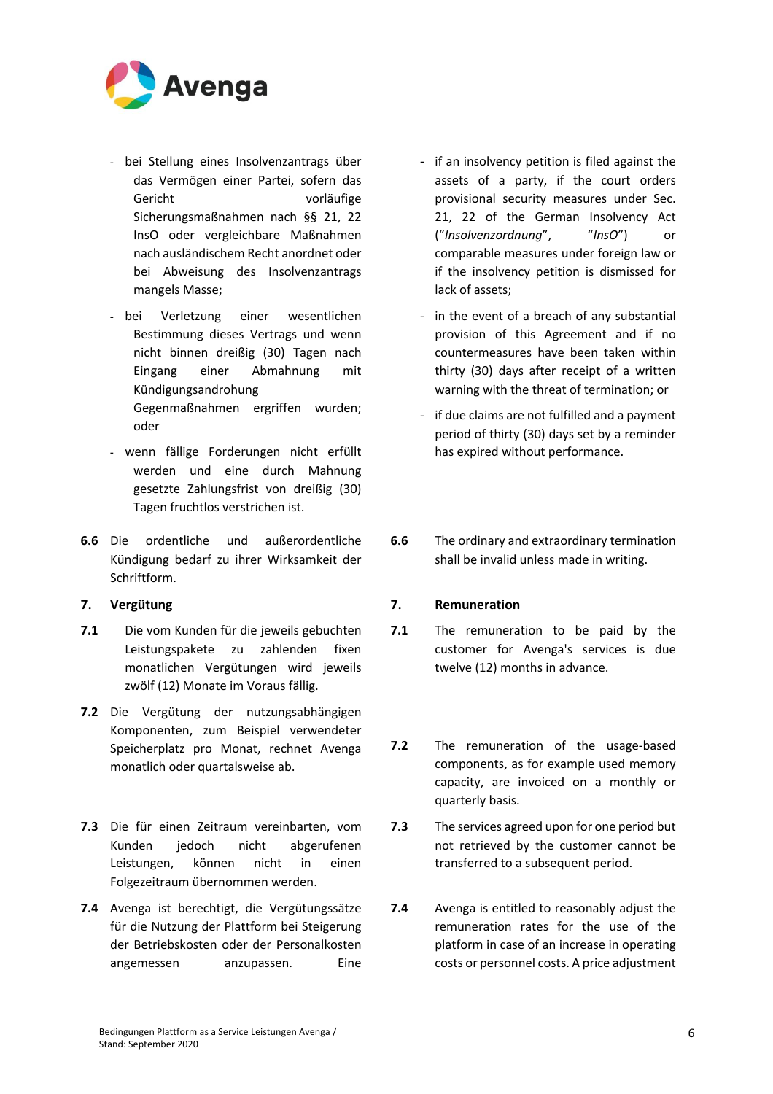

- bei Stellung eines Insolvenzantrags über das Vermögen einer Partei, sofern das Gericht vorläufige Sicherungsmaßnahmen nach §§ 21, 22 InsO oder vergleichbare Maßnahmen nach ausländischem Recht anordnet oder bei Abweisung des Insolvenzantrags mangels Masse;
- bei Verletzung einer wesentlichen Bestimmung dieses Vertrags und wenn nicht binnen dreißig (30) Tagen nach Eingang einer Abmahnung mit Kündigungsandrohung Gegenmaßnahmen ergriffen wurden; oder
- wenn fällige Forderungen nicht erfüllt werden und eine durch Mahnung gesetzte Zahlungsfrist von dreißig (30) Tagen fruchtlos verstrichen ist.
- **6.6** Die ordentliche und außerordentliche Kündigung bedarf zu ihrer Wirksamkeit der Schriftform.

- **7.1** Die vom Kunden für die jeweils gebuchten Leistungspakete zu zahlenden fixen monatlichen Vergütungen wird jeweils zwölf (12) Monate im Voraus fällig.
- **7.2** Die Vergütung der nutzungsabhängigen Komponenten, zum Beispiel verwendeter Speicherplatz pro Monat, rechnet Avenga monatlich oder quartalsweise ab.
- **7.3** Die für einen Zeitraum vereinbarten, vom Kunden jedoch nicht abgerufenen Leistungen, können nicht in einen Folgezeitraum übernommen werden.
- **7.4** Avenga ist berechtigt, die Vergütungssätze für die Nutzung der Plattform bei Steigerung der Betriebskosten oder der Personalkosten angemessen anzupassen. Eine
- if an insolvency petition is filed against the assets of a party, if the court orders provisional security measures under Sec. 21, 22 of the German Insolvency Act ("*Insolvenzordnung*", "*InsO*") or comparable measures under foreign law or if the insolvency petition is dismissed for lack of assets;
- in the event of a breach of any substantial provision of this Agreement and if no countermeasures have been taken within thirty (30) days after receipt of a written warning with the threat of termination; or
- if due claims are not fulfilled and a payment period of thirty (30) days set by a reminder has expired without performance.
- **6.6** The ordinary and extraordinary termination shall be invalid unless made in writing.

## **7. Vergütung 7. Remuneration**

- **7.1** The remuneration to be paid by the customer for Avenga's services is due twelve (12) months in advance.
- **7.2** The remuneration of the usage-based components, as for example used memory capacity, are invoiced on a monthly or quarterly basis.
- **7.3** The services agreed upon for one period but not retrieved by the customer cannot be transferred to a subsequent period.
- **7.4** Avenga is entitled to reasonably adjust the remuneration rates for the use of the platform in case of an increase in operating costs or personnel costs. A price adjustment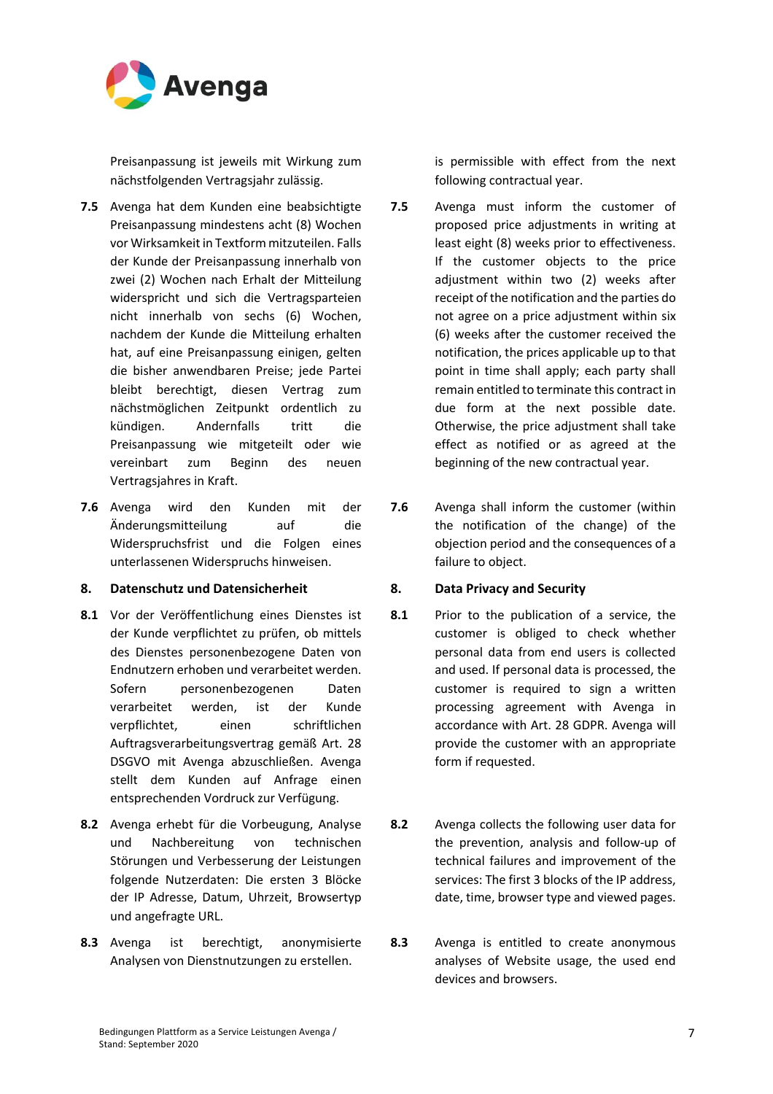

Preisanpassung ist jeweils mit Wirkung zum nächstfolgenden Vertragsjahr zulässig.

- **7.5** Avenga hat dem Kunden eine beabsichtigte Preisanpassung mindestens acht (8) Wochen vor Wirksamkeit in Textform mitzuteilen. Falls der Kunde der Preisanpassung innerhalb von zwei (2) Wochen nach Erhalt der Mitteilung widerspricht und sich die Vertragsparteien nicht innerhalb von sechs (6) Wochen, nachdem der Kunde die Mitteilung erhalten hat, auf eine Preisanpassung einigen, gelten die bisher anwendbaren Preise; jede Partei bleibt berechtigt, diesen Vertrag zum nächstmöglichen Zeitpunkt ordentlich zu kündigen. Andernfalls tritt die Preisanpassung wie mitgeteilt oder wie vereinbart zum Beginn des neuen Vertragsjahres in Kraft.
- **7.6** Avenga wird den Kunden mit der Änderungsmitteilung auf die Widerspruchsfrist und die Folgen eines unterlassenen Widerspruchs hinweisen.

### **8. Datenschutz und Datensicherheit 8. Data Privacy and Security**

- **8.1** Vor der Veröffentlichung eines Dienstes ist der Kunde verpflichtet zu prüfen, ob mittels des Dienstes personenbezogene Daten von Endnutzern erhoben und verarbeitet werden. Sofern personenbezogenen Daten verarbeitet werden, ist der Kunde verpflichtet, einen schriftlichen Auftragsverarbeitungsvertrag gemäß Art. 28 DSGVO mit Avenga abzuschließen. Avenga stellt dem Kunden auf Anfrage einen entsprechenden Vordruck zur Verfügung.
- **8.2** Avenga erhebt für die Vorbeugung, Analyse und Nachbereitung von technischen Störungen und Verbesserung der Leistungen folgende Nutzerdaten: Die ersten 3 Blöcke der IP Adresse, Datum, Uhrzeit, Browsertyp und angefragte URL.
- **8.3** Avenga ist berechtigt, anonymisierte Analysen von Dienstnutzungen zu erstellen.

is permissible with effect from the next following contractual year.

- **7.5** Avenga must inform the customer of proposed price adjustments in writing at least eight (8) weeks prior to effectiveness. If the customer objects to the price adiustment within two (2) weeks after receipt of the notification and the parties do not agree on a price adjustment within six (6) weeks after the customer received the notification, the prices applicable up to that point in time shall apply; each party shall remain entitled to terminate this contract in due form at the next possible date. Otherwise, the price adjustment shall take effect as notified or as agreed at the beginning of the new contractual year.
- **7.6** Avenga shall inform the customer (within the notification of the change) of the objection period and the consequences of a failure to object.

- **8.1** Prior to the publication of a service, the customer is obliged to check whether personal data from end users is collected and used. If personal data is processed, the customer is required to sign a written processing agreement with Avenga in accordance with Art. 28 GDPR. Avenga will provide the customer with an appropriate form if requested.
- **8.2** Avenga collects the following user data for the prevention, analysis and follow-up of technical failures and improvement of the services: The first 3 blocks of the IP address, date, time, browser type and viewed pages.
- **8.3** Avenga is entitled to create anonymous analyses of Website usage, the used end devices and browsers.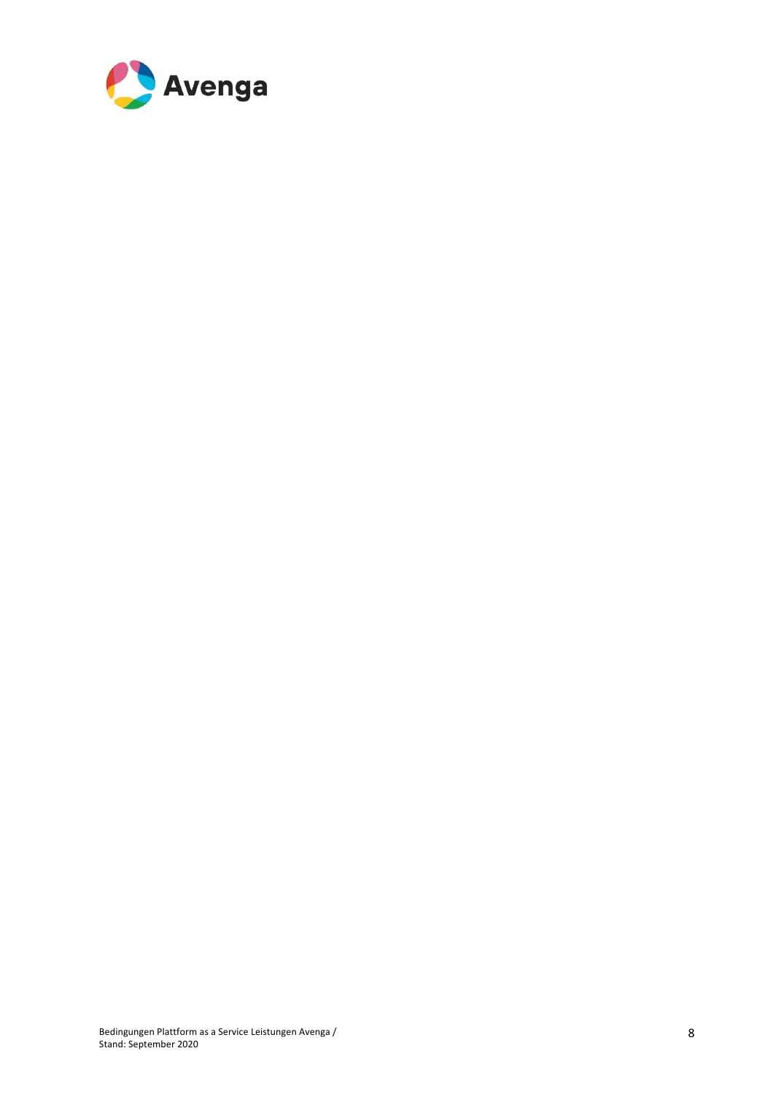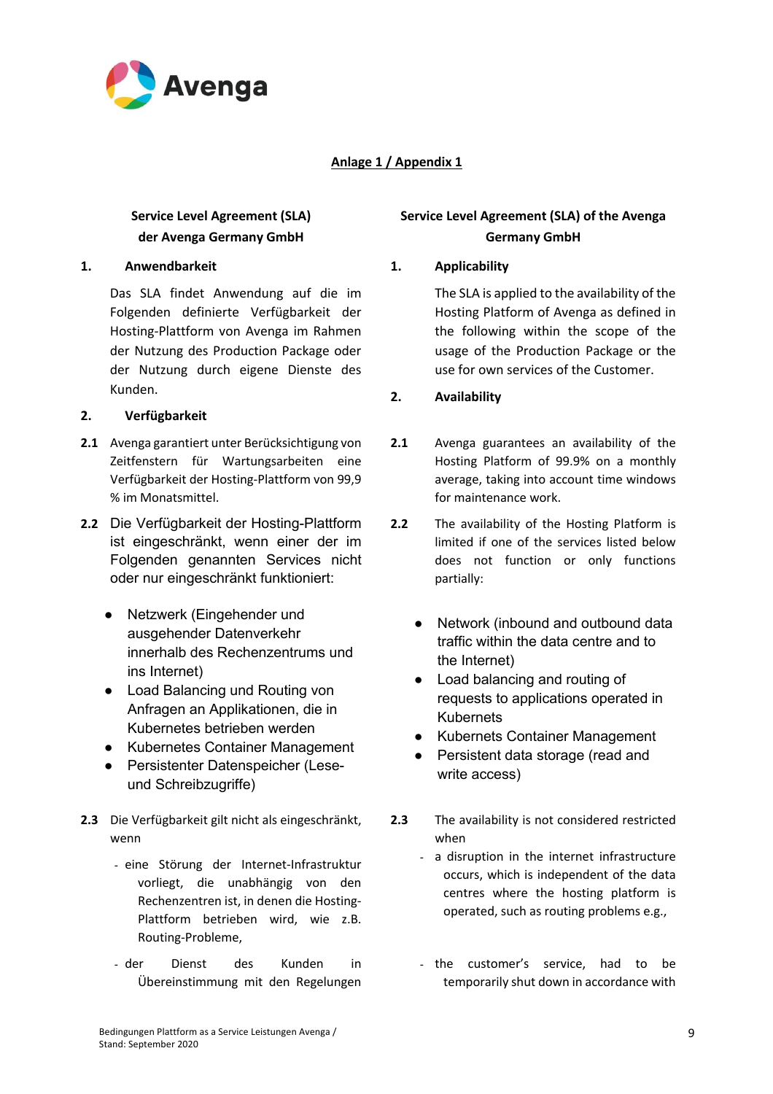

# **Anlage 1 / Appendix 1**

# **Service Level Agreement (SLA) der Avenga Germany GmbH**

## **1. Anwendbarkeit**

Das SLA findet Anwendung auf die im Folgenden definierte Verfügbarkeit der Hosting-Plattform von Avenga im Rahmen der Nutzung des Production Package oder der Nutzung durch eigene Dienste des Kunden.

## **2. Verfügbarkeit**

- **2.1** Avenga garantiert unter Berücksichtigung von Zeitfenstern für Wartungsarbeiten eine Verfügbarkeit der Hosting-Plattform von 99,9 % im Monatsmittel.
- **2.2** Die Verfügbarkeit der Hosting-Plattform ist eingeschränkt, wenn einer der im Folgenden genannten Services nicht oder nur eingeschränkt funktioniert:
	- Netzwerk (Eingehender und ausgehender Datenverkehr innerhalb des Rechenzentrums und ins Internet)
	- Load Balancing und Routing von Anfragen an Applikationen, die in Kubernetes betrieben werden
	- Kubernetes Container Management
	- Persistenter Datenspeicher (Leseund Schreibzugriffe)
- **2.3** Die Verfügbarkeit gilt nicht als eingeschränkt, wenn
	- eine Störung der Internet-Infrastruktur vorliegt, die unabhängig von den Rechenzentren ist, in denen die Hosting-Plattform betrieben wird, wie z.B. Routing-Probleme,
	- der Dienst des Kunden in Übereinstimmung mit den Regelungen

# **Service Level Agreement (SLA) of the Avenga Germany GmbH**

## **1. Applicability**

The SLA is applied to the availability of the Hosting Platform of Avenga as defined in the following within the scope of the usage of the Production Package or the use for own services of the Customer.

- **2. Availability**
- **2.1** Avenga guarantees an availability of the Hosting Platform of 99.9% on a monthly average, taking into account time windows for maintenance work.
- 2.2 The availability of the Hosting Platform is limited if one of the services listed below does not function or only functions partially:
	- Network (inbound and outbound data traffic within the data centre and to the Internet)
	- Load balancing and routing of requests to applications operated in Kubernets
	- Kubernets Container Management
	- Persistent data storage (read and write access)
- **2.3** The availability is not considered restricted when
	- a disruption in the internet infrastructure occurs, which is independent of the data centres where the hosting platform is operated, such as routing problems e.g.,
	- the customer's service, had to be temporarily shut down in accordance with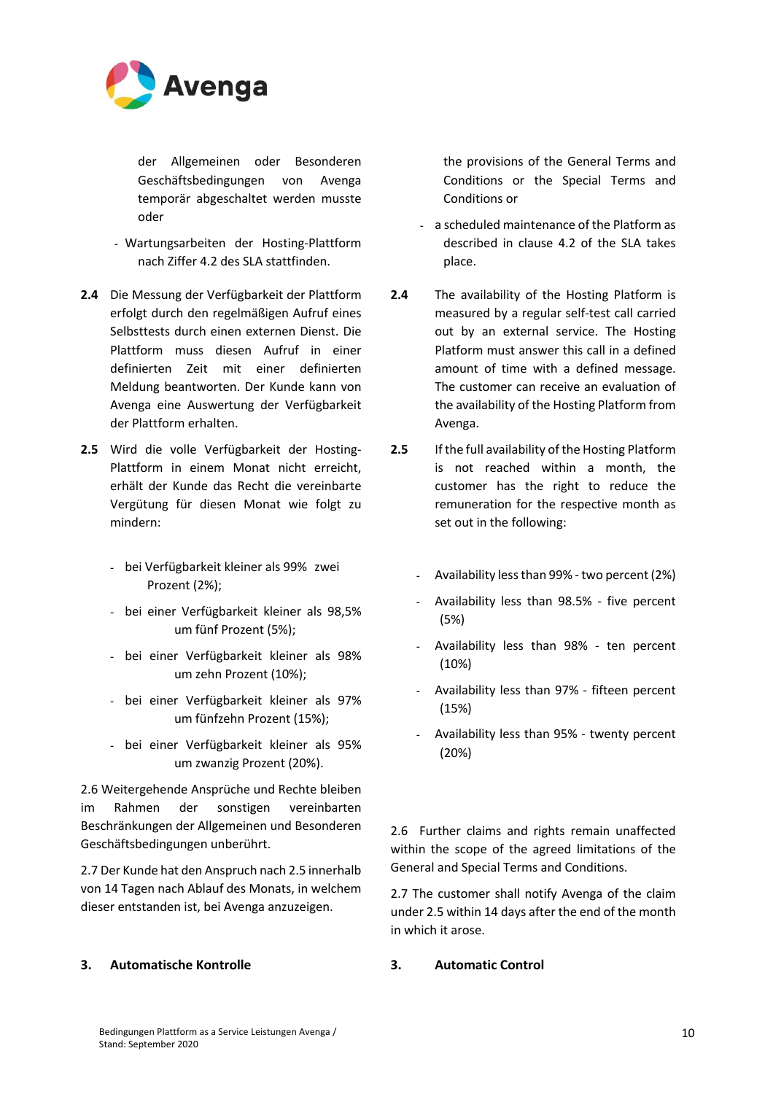

der Allgemeinen oder Besonderen Geschäftsbedingungen von Avenga temporär abgeschaltet werden musste oder

- Wartungsarbeiten der Hosting-Plattform nach Ziffer 4.2 des SLA stattfinden.
- **2.4** Die Messung der Verfügbarkeit der Plattform erfolgt durch den regelmäßigen Aufruf eines Selbsttests durch einen externen Dienst. Die Plattform muss diesen Aufruf in einer definierten Zeit mit einer definierten Meldung beantworten. Der Kunde kann von Avenga eine Auswertung der Verfügbarkeit der Plattform erhalten.
- **2.5** Wird die volle Verfügbarkeit der Hosting-Plattform in einem Monat nicht erreicht, erhält der Kunde das Recht die vereinbarte Vergütung für diesen Monat wie folgt zu mindern:
	- bei Verfügbarkeit kleiner als 99% zwei Prozent (2%);
	- bei einer Verfügbarkeit kleiner als 98,5% um fünf Prozent (5%);
	- bei einer Verfügbarkeit kleiner als 98% um zehn Prozent (10%);
	- bei einer Verfügbarkeit kleiner als 97% um fünfzehn Prozent (15%);
	- bei einer Verfügbarkeit kleiner als 95% um zwanzig Prozent (20%).

2.6 Weitergehende Ansprüche und Rechte bleiben im Rahmen der sonstigen vereinbarten Beschränkungen der Allgemeinen und Besonderen Geschäftsbedingungen unberührt.

2.7 Der Kunde hat den Anspruch nach 2.5 innerhalb von 14 Tagen nach Ablauf des Monats, in welchem dieser entstanden ist, bei Avenga anzuzeigen.

## **3. Automatische Kontrolle 3. Automatic Control**

the provisions of the General Terms and Conditions or the Special Terms and Conditions or

- a scheduled maintenance of the Platform as described in clause 4.2 of the SLA takes place.
- **2.4** The availability of the Hosting Platform is measured by a regular self-test call carried out by an external service. The Hosting Platform must answer this call in a defined amount of time with a defined message. The customer can receive an evaluation of the availability of the Hosting Platform from Avenga.
- **2.5** If the full availability of the Hosting Platform is not reached within a month, the customer has the right to reduce the remuneration for the respective month as set out in the following:
	- Availability less than 99% two percent (2%)
	- Availability less than 98.5% five percent (5%)
	- Availability less than 98% ten percent (10%)
	- Availability less than 97% fifteen percent (15%)
	- Availability less than 95% twenty percent (20%)

2.6 Further claims and rights remain unaffected within the scope of the agreed limitations of the General and Special Terms and Conditions.

2.7 The customer shall notify Avenga of the claim under 2.5 within 14 days after the end of the month in which it arose.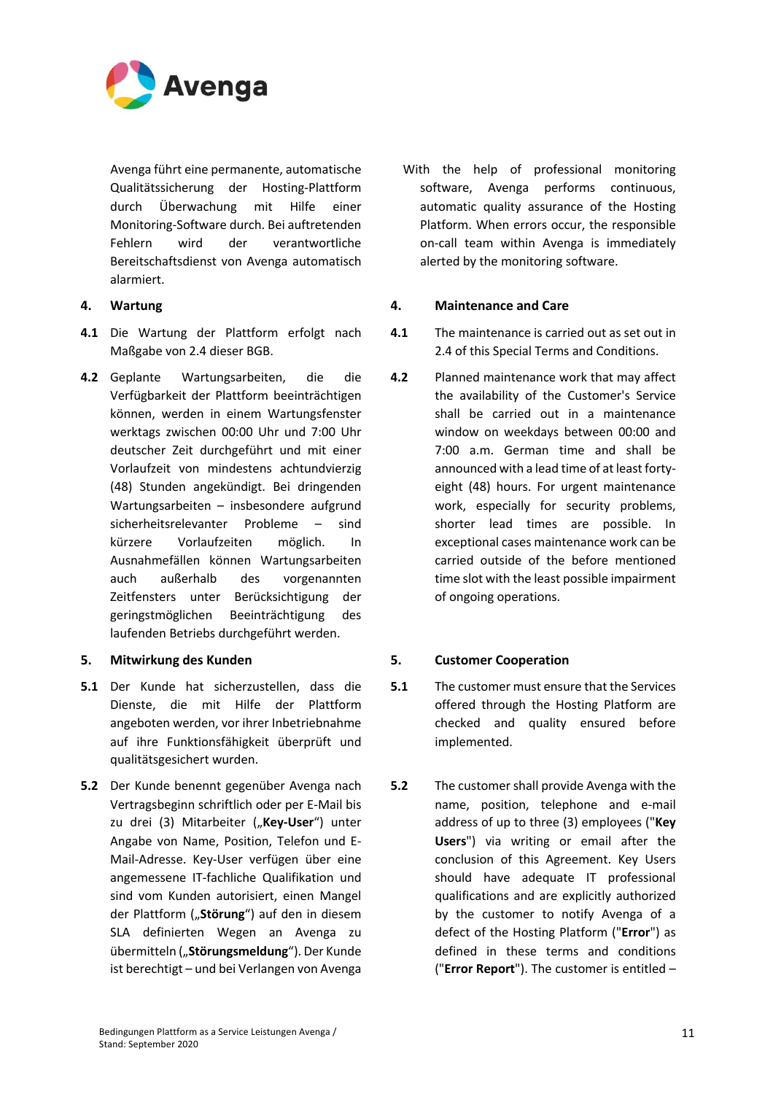

Avenga führt eine permanente, automatische Qualitätssicherung der Hosting-Plattform durch Überwachung mit Hilfe einer Monitoring-Software durch. Bei auftretenden Fehlern wird der verantwortliche Bereitschaftsdienst von Avenga automatisch alarmiert.

- **4.1** Die Wartung der Plattform erfolgt nach Maßgabe von 2.4 dieser BGB.
- **4.2** Geplante Wartungsarbeiten, die die Verfügbarkeit der Plattform beeinträchtigen können, werden in einem Wartungsfenster werktags zwischen 00:00 Uhr und 7:00 Uhr deutscher Zeit durchgeführt und mit einer Vorlaufzeit von mindestens achtundvierzig (48) Stunden angekündigt. Bei dringenden Wartungsarbeiten – insbesondere aufgrund sicherheitsrelevanter Probleme – sind kürzere Vorlaufzeiten möglich. In Ausnahmefällen können Wartungsarbeiten auch außerhalb des vorgenannten Zeitfensters unter Berücksichtigung der geringstmöglichen Beeinträchtigung des laufenden Betriebs durchgeführt werden.

- **5.1** Der Kunde hat sicherzustellen, dass die Dienste, die mit Hilfe der Plattform angeboten werden, vor ihrer Inbetriebnahme auf ihre Funktionsfähigkeit überprüft und qualitätsgesichert wurden.
- **5.2** Der Kunde benennt gegenüber Avenga nach Vertragsbeginn schriftlich oder per E-Mail bis zu drei (3) Mitarbeiter ("Key-User") unter Angabe von Name, Position, Telefon und E-Mail-Adresse. Key-User verfügen über eine angemessene IT-fachliche Qualifikation und sind vom Kunden autorisiert, einen Mangel der Plattform ("Störung") auf den in diesem SLA definierten Wegen an Avenga zu übermitteln ("**Störungsmeldung**"). Der Kunde ist berechtigt – und bei Verlangen von Avenga

 With the help of professional monitoring software, Avenga performs continuous, automatic quality assurance of the Hosting Platform. When errors occur, the responsible on-call team within Avenga is immediately alerted by the monitoring software.

## **4. Wartung 4. Maintenance and Care**

- **4.1** The maintenance is carried out as set out in 2.4 of this Special Terms and Conditions.
- **4.2** Planned maintenance work that may affect the availability of the Customer's Service shall be carried out in a maintenance window on weekdays between 00:00 and 7:00 a.m. German time and shall be announced with a lead time of at least fortyeight (48) hours. For urgent maintenance work, especially for security problems, shorter lead times are possible. In exceptional cases maintenance work can be carried outside of the before mentioned time slot with the least possible impairment of ongoing operations.

## **5. Mitwirkung des Kunden 5. Customer Cooperation**

- **5.1** The customer must ensure that the Services offered through the Hosting Platform are checked and quality ensured before implemented.
- **5.2** The customer shall provide Avenga with the name, position, telephone and e-mail address of up to three (3) employees ("**Key Users**") via writing or email after the conclusion of this Agreement. Key Users should have adequate IT professional qualifications and are explicitly authorized by the customer to notify Avenga of a defect of the Hosting Platform ("**Error**") as defined in these terms and conditions ("**Error Report**"). The customer is entitled –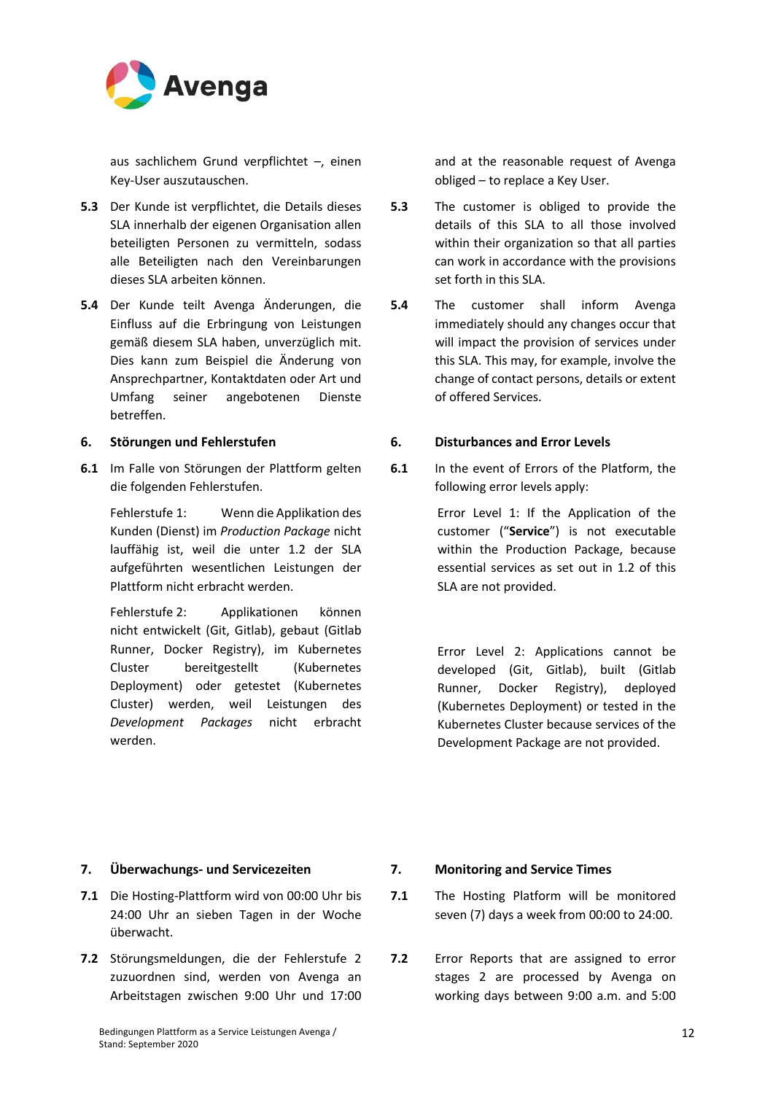

aus sachlichem Grund verpflichtet –, einen Key-User auszutauschen.

- **5.3** Der Kunde ist verpflichtet, die Details dieses SLA innerhalb der eigenen Organisation allen beteiligten Personen zu vermitteln, sodass alle Beteiligten nach den Vereinbarungen dieses SLA arbeiten können.
- **5.4** Der Kunde teilt Avenga Änderungen, die Einfluss auf die Erbringung von Leistungen gemäß diesem SLA haben, unverzüglich mit. Dies kann zum Beispiel die Änderung von Ansprechpartner, Kontaktdaten oder Art und Umfang seiner angebotenen Dienste betreffen.

**6.1** Im Falle von Störungen der Plattform gelten die folgenden Fehlerstufen.

> Fehlerstufe 1: Wenn die Applikation des Kunden (Dienst) im *Production Package* nicht lauffähig ist, weil die unter 1.2 der SLA aufgeführten wesentlichen Leistungen der Plattform nicht erbracht werden.

> Fehlerstufe 2: Applikationen können nicht entwickelt (Git, Gitlab), gebaut (Gitlab Runner, Docker Registry), im Kubernetes Cluster bereitgestellt (Kubernetes Deployment) oder getestet (Kubernetes Cluster) werden, weil Leistungen des *Development Packages* nicht erbracht werden.

and at the reasonable request of Avenga obliged – to replace a Key User.

- **5.3** The customer is obliged to provide the details of this SLA to all those involved within their organization so that all parties can work in accordance with the provisions set forth in this SLA.
- **5.4** The customer shall inform Avenga immediately should any changes occur that will impact the provision of services under this SLA. This may, for example, involve the change of contact persons, details or extent of offered Services.

### **6. Störungen und Fehlerstufen 6. Disturbances and Error Levels**

**6.1** In the event of Errors of the Platform, the following error levels apply:

> Error Level 1: If the Application of the customer ("**Service**") is not executable within the Production Package, because essential services as set out in 1.2 of this SLA are not provided.

> Error Level 2: Applications cannot be developed (Git, Gitlab), built (Gitlab Runner, Docker Registry), deployed (Kubernetes Deployment) or tested in the Kubernetes Cluster because services of the Development Package are not provided.

### **7. Überwachungs- und Servicezeiten 7. Monitoring and Service Times**

- **7.1** Die Hosting-Plattform wird von 00:00 Uhr bis 24:00 Uhr an sieben Tagen in der Woche überwacht.
- **7.2** Störungsmeldungen, die der Fehlerstufe 2 zuzuordnen sind, werden von Avenga an Arbeitstagen zwischen 9:00 Uhr und 17:00

- **7.1** The Hosting Platform will be monitored seven (7) days a week from 00:00 to 24:00.
- **7.2** Error Reports that are assigned to error stages 2 are processed by Avenga on working days between 9:00 a.m. and 5:00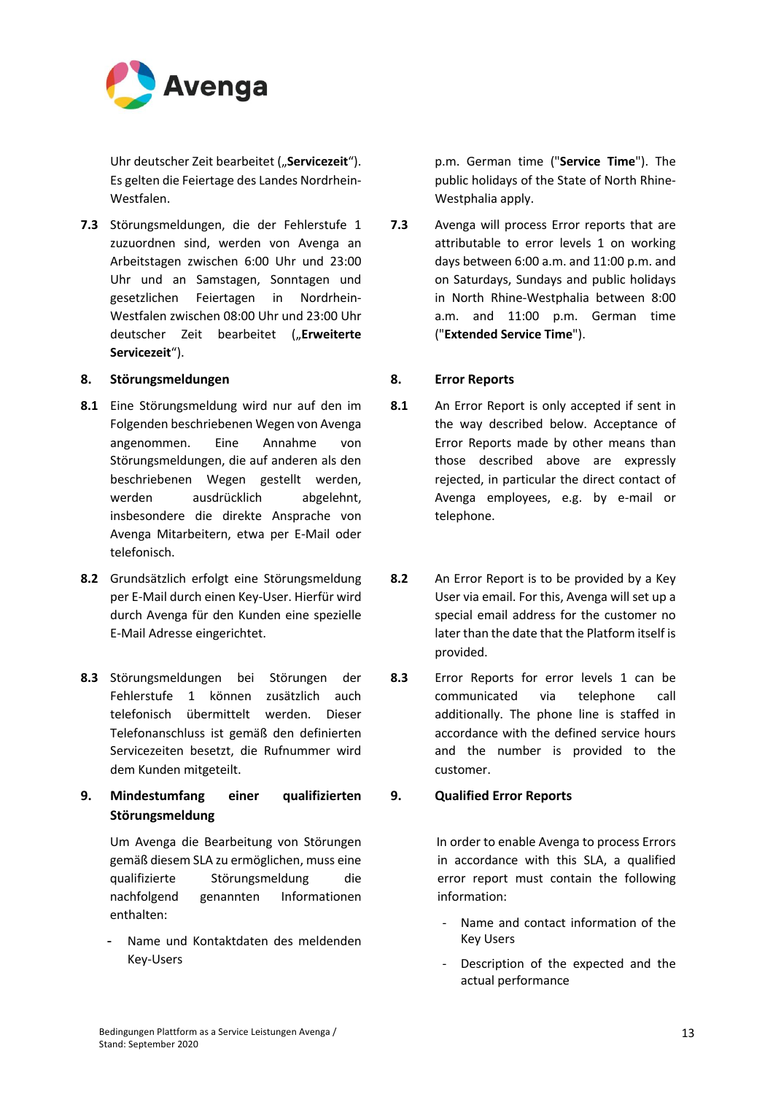

Uhr deutscher Zeit bearbeitet ("Servicezeit"). Es gelten die Feiertage des Landes Nordrhein-Westfalen.

**7.3** Störungsmeldungen, die der Fehlerstufe 1 zuzuordnen sind, werden von Avenga an Arbeitstagen zwischen 6:00 Uhr und 23:00 Uhr und an Samstagen, Sonntagen und gesetzlichen Feiertagen in Nordrhein-Westfalen zwischen 08:00 Uhr und 23:00 Uhr deutscher Zeit bearbeitet ("**Erweiterte Servicezeit**").

### **8. Störungsmeldungen 8. Error Reports**

- **8.1** Eine Störungsmeldung wird nur auf den im Folgenden beschriebenen Wegen von Avenga angenommen. Eine Annahme von Störungsmeldungen, die auf anderen als den beschriebenen Wegen gestellt werden, werden ausdrücklich abgelehnt, insbesondere die direkte Ansprache von Avenga Mitarbeitern, etwa per E-Mail oder telefonisch.
- **8.2** Grundsätzlich erfolgt eine Störungsmeldung per E-Mail durch einen Key-User. Hierfür wird durch Avenga für den Kunden eine spezielle E-Mail Adresse eingerichtet.
- **8.3** Störungsmeldungen bei Störungen der Fehlerstufe 1 können zusätzlich auch telefonisch übermittelt werden. Dieser Telefonanschluss ist gemäß den definierten Servicezeiten besetzt, die Rufnummer wird dem Kunden mitgeteilt.
- **9. Mindestumfang einer qualifizierten Störungsmeldung**

Um Avenga die Bearbeitung von Störungen gemäß diesem SLA zu ermöglichen, muss eine qualifizierte Störungsmeldung die nachfolgend genannten Informationen enthalten:

- Name und Kontaktdaten des meldenden Key-Users

p.m. German time ("**Service Time**"). The public holidays of the State of North Rhine-Westphalia apply.

**7.3** Avenga will process Error reports that are attributable to error levels 1 on working days between 6:00 a.m. and 11:00 p.m. and on Saturdays, Sundays and public holidays in North Rhine-Westphalia between 8:00 a.m. and 11:00 p.m. German time ("**Extended Service Time**").

- **8.1** An Error Report is only accepted if sent in the way described below. Acceptance of Error Reports made by other means than those described above are expressly rejected, in particular the direct contact of Avenga employees, e.g. by e-mail or telephone.
- **8.2** An Error Report is to be provided by a Key User via email. For this, Avenga will set up a special email address for the customer no later than the date that the Platform itself is provided.
- **8.3** Error Reports for error levels 1 can be communicated via telephone call additionally. The phone line is staffed in accordance with the defined service hours and the number is provided to the customer.

## **9. Qualified Error Reports**

In order to enable Avenga to process Errors in accordance with this SLA, a qualified error report must contain the following information:

- Name and contact information of the Key Users
- Description of the expected and the actual performance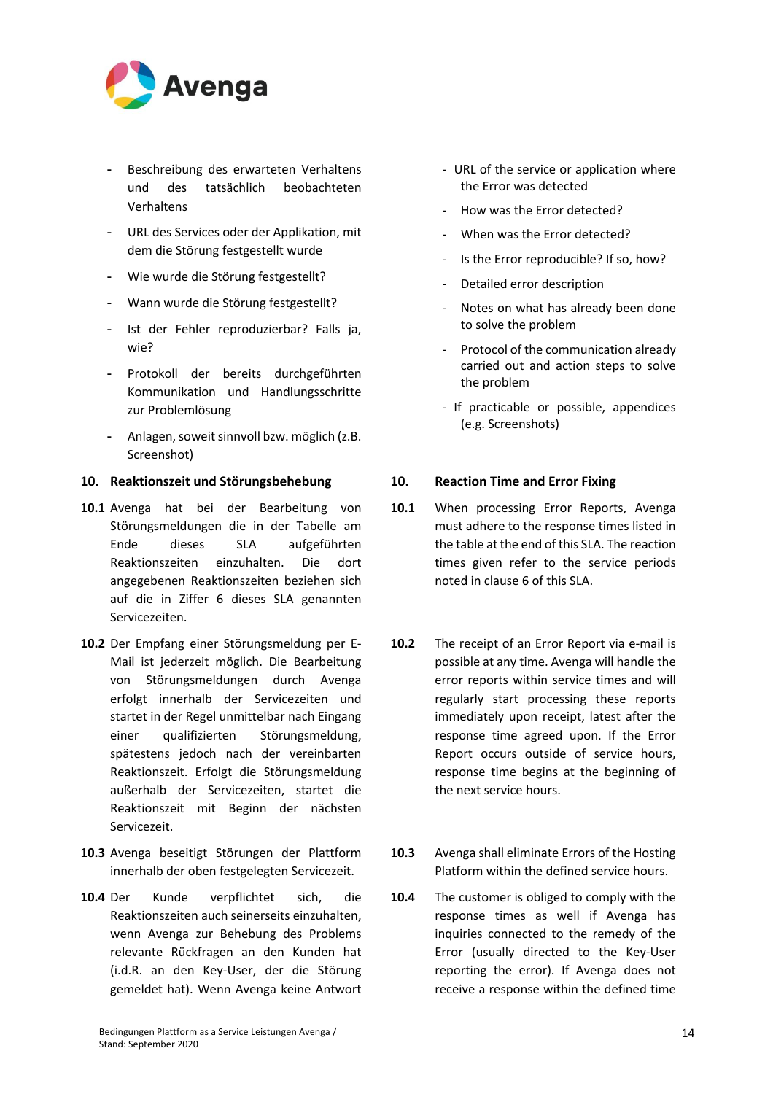

- Beschreibung des erwarteten Verhaltens und des tatsächlich beobachteten Verhaltens
- URL des Services oder der Applikation, mit dem die Störung festgestellt wurde
- Wie wurde die Störung festgestellt?
- Wann wurde die Störung festgestellt?
- Ist der Fehler reproduzierbar? Falls ja, wie?
- Protokoll der bereits durchgeführten Kommunikation und Handlungsschritte zur Problemlösung
- Anlagen, soweit sinnvoll bzw. möglich (z.B. Screenshot)

## **10. Reaktionszeit und Störungsbehebung 10. Reaction Time and Error Fixing**

- **10.1** Avenga hat bei der Bearbeitung von Störungsmeldungen die in der Tabelle am Ende dieses SLA aufgeführten Reaktionszeiten einzuhalten. Die dort angegebenen Reaktionszeiten beziehen sich auf die in Ziffer 6 dieses SLA genannten Servicezeiten.
- **10.2** Der Empfang einer Störungsmeldung per E-Mail ist jederzeit möglich. Die Bearbeitung von Störungsmeldungen durch Avenga erfolgt innerhalb der Servicezeiten und startet in der Regel unmittelbar nach Eingang einer qualifizierten Störungsmeldung, spätestens jedoch nach der vereinbarten Reaktionszeit. Erfolgt die Störungsmeldung außerhalb der Servicezeiten, startet die Reaktionszeit mit Beginn der nächsten Servicezeit.
- **10.3** Avenga beseitigt Störungen der Plattform innerhalb der oben festgelegten Servicezeit.
- **10.4** Der Kunde verpflichtet sich, die Reaktionszeiten auch seinerseits einzuhalten, wenn Avenga zur Behebung des Problems relevante Rückfragen an den Kunden hat (i.d.R. an den Key-User, der die Störung gemeldet hat). Wenn Avenga keine Antwort
- URL of the service or application where the Error was detected
- How was the Error detected?
- When was the Error detected?
- Is the Error reproducible? If so, how?
- Detailed error description
- Notes on what has already been done to solve the problem
- Protocol of the communication already carried out and action steps to solve the problem
- If practicable or possible, appendices (e.g. Screenshots)

- 10.1 When processing Error Reports, Avenga must adhere to the response times listed in the table at the end of this SLA. The reaction times given refer to the service periods noted in clause 6 of this SLA.
- **10.2** The receipt of an Error Report via e-mail is possible at any time. Avenga will handle the error reports within service times and will regularly start processing these reports immediately upon receipt, latest after the response time agreed upon. If the Error Report occurs outside of service hours, response time begins at the beginning of the next service hours.
- **10.3** Avenga shall eliminate Errors of the Hosting Platform within the defined service hours.
- **10.4** The customer is obliged to comply with the response times as well if Avenga has inquiries connected to the remedy of the Error (usually directed to the Key-User reporting the error). If Avenga does not receive a response within the defined time